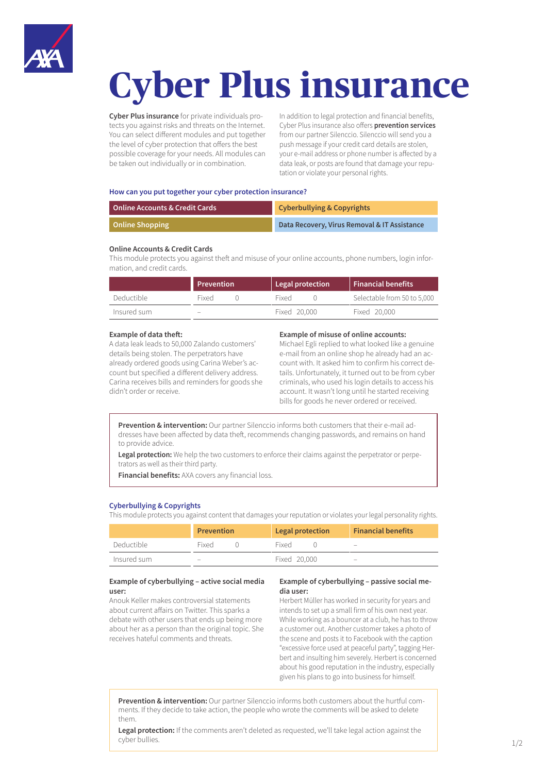

# **Cyber Plus insurance**

**Cyber Plus insurance** for private individuals protects you against risks and threats on the Internet. You can select different modules and put together the level of cyber protection that offers the best possible coverage for your needs. All modules can be taken out individually or in combination.

In addition to legal protection and financial benefits, Cyber Plus insurance also offers **prevention services** from our partner Silenccio. Silenccio will send you a push message if your credit card details are stolen, your e-mail address or phone number is affected by a data leak, or posts are found that damage your reputation or violate your personal rights.

#### **How can you put together your cyber protection insurance?**

| Online Accounts & Credit Cards | <b>Cyberbullying &amp; Copyrights</b>        |  |
|--------------------------------|----------------------------------------------|--|
| <b>Online Shopping</b>         | Data Recovery, Virus Removal & IT Assistance |  |

## **Online Accounts & Credit Cards**

This module protects you against theft and misuse of your online accounts, phone numbers, login information, and credit cards.

|             | Prevention | Legal protection | <b>Financial benefits</b>   |
|-------------|------------|------------------|-----------------------------|
| Deductible  | Fixed      | Fixed            | Selectable from 50 to 5,000 |
| Insured sum | -          | Fixed 20,000     | Fixed 20,000                |

### **Example of data theft:**

A data leak leads to 50,000 Zalando customers' details being stolen. The perpetrators have already ordered goods using Carina Weber's account but specified a different delivery address. Carina receives bills and reminders for goods she didn't order or receive.

#### **Example of misuse of online accounts:**

Michael Egli replied to what looked like a genuine e-mail from an online shop he already had an account with. It asked him to confirm his correct details. Unfortunately, it turned out to be from cyber criminals, who used his login details to access his account. It wasn't long until he started receiving bills for goods he never ordered or received.

**Prevention & intervention:** Our partner Silenccio informs both customers that their e-mail addresses have been affected by data theft, recommends changing passwords, and remains on hand to provide advice.

Legal protection: We help the two customers to enforce their claims against the perpetrator or perpetrators as well as their third party.

**Financial benefits:** AXA covers any financial loss.

## **Cyberbullying & Copyrights**

This module protects you against content that damages your reputation or violates your legal personality rights.

|             | <b>Prevention</b> |  | Legal protection |  | <b>Financial benefits</b>       |
|-------------|-------------------|--|------------------|--|---------------------------------|
| Deductible  | Fixed             |  | Fixed            |  | $\hspace{0.1mm}-\hspace{0.1mm}$ |
| Insured sum | $\qquad \qquad -$ |  | Fixed 20,000     |  | $\overline{\phantom{0}}$        |

## **Example of cyberbullying – active social media user:**

Anouk Keller makes controversial statements about current affairs on Twitter. This sparks a debate with other users that ends up being more about her as a person than the original topic. She receives hateful comments and threats.

# **Example of cyberbullying – passive social media user:**

Herbert Müller has worked in security for years and intends to set up a small firm of his own next year. While working as a bouncer at a club, he has to throw a customer out. Another customer takes a photo of the scene and posts it to Facebook with the caption "excessive force used at peaceful party", tagging Herbert and insulting him severely. Herbert is concerned about his good reputation in the industry, especially given his plans to go into business for himself.

**Prevention & intervention:** Our partner Silenccio informs both customers about the hurtful comments. If they decide to take action, the people who wrote the comments will be asked to delete them.

**Legal protection:** If the comments aren't deleted as requested, we'll take legal action against the cyber bullies.